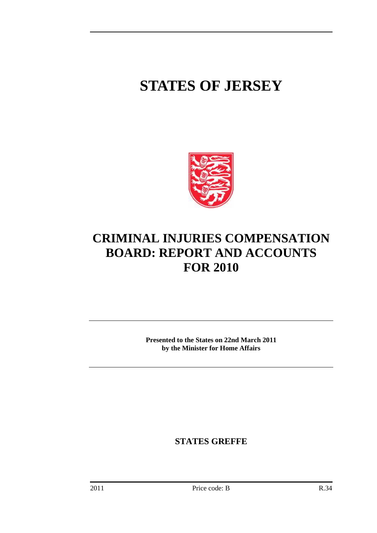# **STATES OF JERSEY**



# **CRIMINAL INJURIES COMPENSATION BOARD: REPORT AND ACCOUNTS FOR 2010**

**Presented to the States on 22nd March 2011 by the Minister for Home Affairs** 

**STATES GREFFE**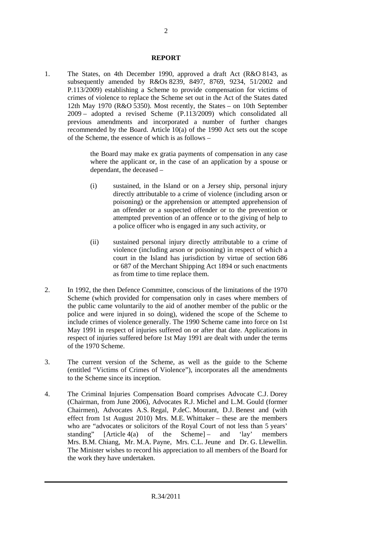#### **REPORT**

1. The States, on 4th December 1990, approved a draft Act (R&O 8143, as subsequently amended by R&Os 8239, 8497, 8769, 9234, 51/2002 and P.113/2009) establishing a Scheme to provide compensation for victims of crimes of violence to replace the Scheme set out in the Act of the States dated 12th May 1970 (R&O 5350). Most recently, the States – on 10th September 2009 – adopted a revised Scheme (P.113/2009) which consolidated all previous amendments and incorporated a number of further changes recommended by the Board. Article 10(a) of the 1990 Act sets out the scope of the Scheme, the essence of which is as follows –

> the Board may make ex gratia payments of compensation in any case where the applicant or, in the case of an application by a spouse or dependant, the deceased –

- (i) sustained, in the Island or on a Jersey ship, personal injury directly attributable to a crime of violence (including arson or poisoning) or the apprehension or attempted apprehension of an offender or a suspected offender or to the prevention or attempted prevention of an offence or to the giving of help to a police officer who is engaged in any such activity, or
- (ii) sustained personal injury directly attributable to a crime of violence (including arson or poisoning) in respect of which a court in the Island has jurisdiction by virtue of section 686 or 687 of the Merchant Shipping Act 1894 or such enactments as from time to time replace them.
- 2. In 1992, the then Defence Committee, conscious of the limitations of the 1970 Scheme (which provided for compensation only in cases where members of the public came voluntarily to the aid of another member of the public or the police and were injured in so doing), widened the scope of the Scheme to include crimes of violence generally. The 1990 Scheme came into force on 1st May 1991 in respect of injuries suffered on or after that date. Applications in respect of injuries suffered before 1st May 1991 are dealt with under the terms of the 1970 Scheme.
- 3. The current version of the Scheme, as well as the guide to the Scheme (entitled "Victims of Crimes of Violence"), incorporates all the amendments to the Scheme since its inception.
- 4. The Criminal Injuries Compensation Board comprises Advocate C.J. Dorey (Chairman, from June 2006), Advocates R.J. Michel and L.M. Gould (former Chairmen), Advocates A.S. Regal, P.deC. Mourant, D.J. Benest and (with effect from 1st August 2010) Mrs. M.E. Whittaker – these are the members who are "advocates or solicitors of the Royal Court of not less than 5 years' standing" [Article 4(a) of the Scheme] – and 'lay' members Mrs. B.M. Chiang, Mr. M.A. Payne, Mrs. C.L. Jeune and Dr. G. Llewellin. The Minister wishes to record his appreciation to all members of the Board for the work they have undertaken.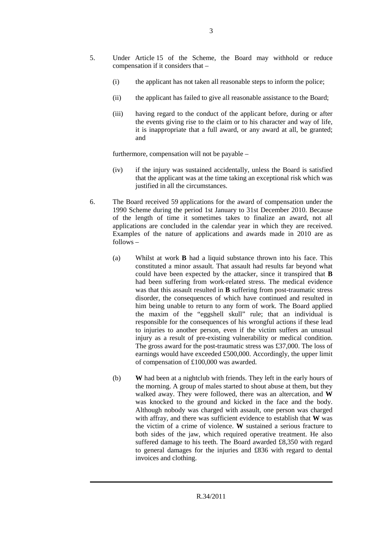- 5. Under Article 15 of the Scheme, the Board may withhold or reduce compensation if it considers that –
	- (i) the applicant has not taken all reasonable steps to inform the police;
	- (ii) the applicant has failed to give all reasonable assistance to the Board;
	- (iii) having regard to the conduct of the applicant before, during or after the events giving rise to the claim or to his character and way of life, it is inappropriate that a full award, or any award at all, be granted; and

furthermore, compensation will not be payable –

- (iv) if the injury was sustained accidentally, unless the Board is satisfied that the applicant was at the time taking an exceptional risk which was justified in all the circumstances.
- 6. The Board received 59 applications for the award of compensation under the 1990 Scheme during the period 1st January to 31st December 2010. Because of the length of time it sometimes takes to finalize an award, not all applications are concluded in the calendar year in which they are received. Examples of the nature of applications and awards made in 2010 are as follows –
	- (a) Whilst at work **B** had a liquid substance thrown into his face. This constituted a minor assault. That assault had results far beyond what could have been expected by the attacker, since it transpired that **B** had been suffering from work-related stress. The medical evidence was that this assault resulted in **B** suffering from post-traumatic stress disorder, the consequences of which have continued and resulted in him being unable to return to any form of work. The Board applied the maxim of the "eggshell skull" rule; that an individual is responsible for the consequences of his wrongful actions if these lead to injuries to another person, even if the victim suffers an unusual injury as a result of pre-existing vulnerability or medical condition. The gross award for the post-traumatic stress was £37,000. The loss of earnings would have exceeded £500,000. Accordingly, the upper limit of compensation of £100,000 was awarded.
	- (b) **W** had been at a nightclub with friends. They left in the early hours of the morning. A group of males started to shout abuse at them, but they walked away. They were followed, there was an altercation, and **W** was knocked to the ground and kicked in the face and the body. Although nobody was charged with assault, one person was charged with affray, and there was sufficient evidence to establish that **W** was the victim of a crime of violence. **W** sustained a serious fracture to both sides of the jaw, which required operative treatment. He also suffered damage to his teeth. The Board awarded £8,350 with regard to general damages for the injuries and £836 with regard to dental invoices and clothing.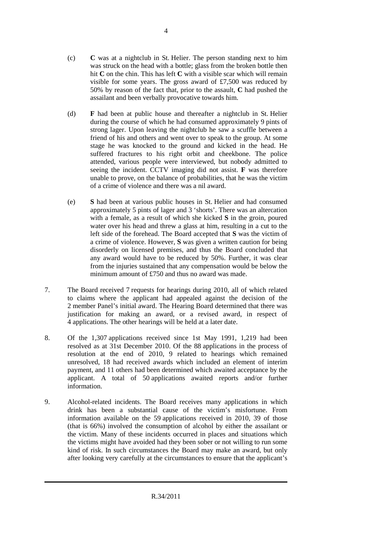- (c) **C** was at a nightclub in St. Helier. The person standing next to him was struck on the head with a bottle; glass from the broken bottle then hit **C** on the chin. This has left **C** with a visible scar which will remain visible for some years. The gross award of £7,500 was reduced by 50% by reason of the fact that, prior to the assault, **C** had pushed the assailant and been verbally provocative towards him.
- (d) **F** had been at public house and thereafter a nightclub in St. Helier during the course of which he had consumed approximately 9 pints of strong lager. Upon leaving the nightclub he saw a scuffle between a friend of his and others and went over to speak to the group. At some stage he was knocked to the ground and kicked in the head. He suffered fractures to his right orbit and cheekbone. The police attended, various people were interviewed, but nobody admitted to seeing the incident. CCTV imaging did not assist. **F** was therefore unable to prove, on the balance of probabilities, that he was the victim of a crime of violence and there was a nil award.
- (e) **S** had been at various public houses in St. Helier and had consumed approximately 5 pints of lager and 3 'shorts'. There was an altercation with a female, as a result of which she kicked **S** in the groin, poured water over his head and threw a glass at him, resulting in a cut to the left side of the forehead. The Board accepted that **S** was the victim of a crime of violence. However, **S** was given a written caution for being disorderly on licensed premises, and thus the Board concluded that any award would have to be reduced by 50%. Further, it was clear from the injuries sustained that any compensation would be below the minimum amount of £750 and thus no award was made.
- 7. The Board received 7 requests for hearings during 2010, all of which related to claims where the applicant had appealed against the decision of the 2 member Panel's initial award. The Hearing Board determined that there was justification for making an award, or a revised award, in respect of 4 applications. The other hearings will be held at a later date.
- 8. Of the 1,307 applications received since 1st May 1991, 1,219 had been resolved as at 31st December 2010. Of the 88 applications in the process of resolution at the end of 2010, 9 related to hearings which remained unresolved, 18 had received awards which included an element of interim payment, and 11 others had been determined which awaited acceptance by the applicant. A total of 50 applications awaited reports and/or further information.
- 9. Alcohol-related incidents. The Board receives many applications in which drink has been a substantial cause of the victim's misfortune. From information available on the 59 applications received in 2010, 39 of those (that is 66%) involved the consumption of alcohol by either the assailant or the victim. Many of these incidents occurred in places and situations which the victims might have avoided had they been sober or not willing to run some kind of risk. In such circumstances the Board may make an award, but only after looking very carefully at the circumstances to ensure that the applicant's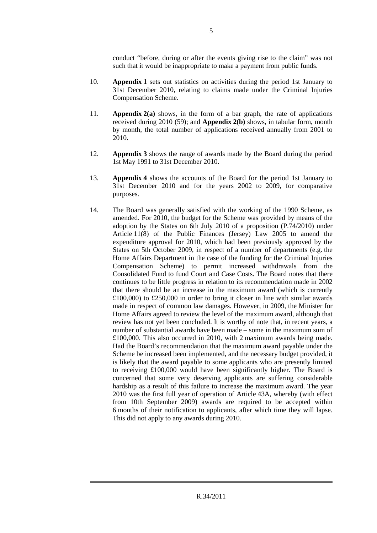conduct "before, during or after the events giving rise to the claim" was not such that it would be inappropriate to make a payment from public funds.

- 10. **Appendix 1** sets out statistics on activities during the period 1st January to 31st December 2010, relating to claims made under the Criminal Injuries Compensation Scheme.
- 11. **Appendix 2(a)** shows, in the form of a bar graph, the rate of applications received during 2010 (59); and **Appendix 2(b)** shows, in tabular form, month by month, the total number of applications received annually from 2001 to 2010.
- 12. **Appendix 3** shows the range of awards made by the Board during the period 1st May 1991 to 31st December 2010.
- 13. **Appendix 4** shows the accounts of the Board for the period 1st January to 31st December 2010 and for the years 2002 to 2009, for comparative purposes.
- 14. The Board was generally satisfied with the working of the 1990 Scheme, as amended. For 2010, the budget for the Scheme was provided by means of the adoption by the States on 6th July 2010 of a proposition (P.74/2010) under Article 11(8) of the Public Finances (Jersey) Law 2005 to amend the expenditure approval for 2010, which had been previously approved by the States on 5th October 2009, in respect of a number of departments (e.g. the Home Affairs Department in the case of the funding for the Criminal Injuries Compensation Scheme) to permit increased withdrawals from the Consolidated Fund to fund Court and Case Costs. The Board notes that there continues to be little progress in relation to its recommendation made in 2002 that there should be an increase in the maximum award (which is currently £100,000) to £250,000 in order to bring it closer in line with similar awards made in respect of common law damages. However, in 2009, the Minister for Home Affairs agreed to review the level of the maximum award, although that review has not yet been concluded. It is worthy of note that, in recent years, a number of substantial awards have been made – some in the maximum sum of £100,000. This also occurred in 2010, with 2 maximum awards being made. Had the Board's recommendation that the maximum award payable under the Scheme be increased been implemented, and the necessary budget provided, it is likely that the award payable to some applicants who are presently limited to receiving £100,000 would have been significantly higher. The Board is concerned that some very deserving applicants are suffering considerable hardship as a result of this failure to increase the maximum award. The year 2010 was the first full year of operation of Article 43A, whereby (with effect from 10th September 2009) awards are required to be accepted within 6 months of their notification to applicants, after which time they will lapse. This did not apply to any awards during 2010.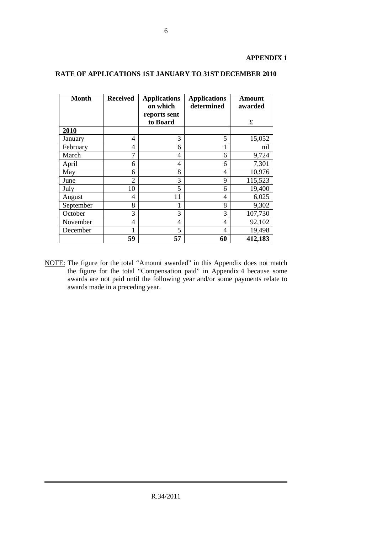# **APPENDIX 1**

| <b>Month</b> | <b>Received</b> | <b>Applications</b><br>on which<br>reports sent | <b>Applications</b><br>determined | Amount<br>awarded |
|--------------|-----------------|-------------------------------------------------|-----------------------------------|-------------------|
|              |                 | to Board                                        |                                   | £                 |
| 2010         |                 |                                                 |                                   |                   |
| January      | 4               | 3                                               | 5                                 | 15,052            |
| February     | 4               | 6                                               | $\mathbf{1}$                      | nil               |
| March        | 7               | 4                                               | 6                                 | 9,724             |
| April        | 6               | 4                                               | 6                                 | 7,301             |
| May          | 6               | 8                                               | 4                                 | 10,976            |
| June         | $\overline{2}$  | 3                                               | 9                                 | 115,523           |
| July         | 10              | 5                                               | 6                                 | 19,400            |
| August       | 4               | 11                                              | 4                                 | 6,025             |
| September    | 8               | 1                                               | 8                                 | 9,302             |
| October      | 3               | 3                                               | 3                                 | 107,730           |
| November     | 4               | 4                                               | 4                                 | 92,102            |
| December     | 1               | 5                                               | 4                                 | 19,498            |
|              | 59              | 57                                              | 60                                | 412,183           |

# **RATE OF APPLICATIONS 1ST JANUARY TO 31ST DECEMBER 2010**

NOTE: The figure for the total "Amount awarded" in this Appendix does not match the figure for the total "Compensation paid" in Appendix 4 because some awards are not paid until the following year and/or some payments relate to awards made in a preceding year.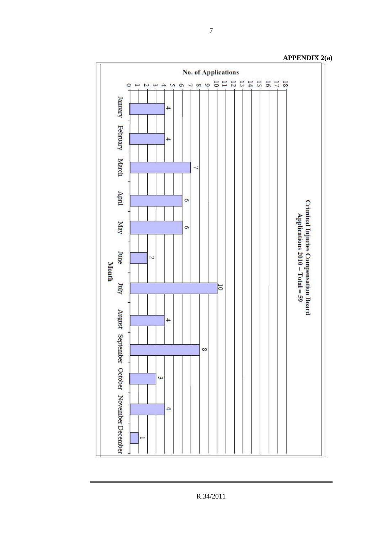

**APPENDIX 2(a)**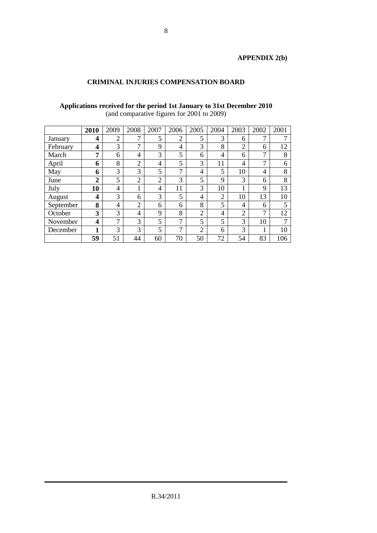# **APPENDIX 2(b)**

# **CRIMINAL INJURIES COMPENSATION BOARD**

#### **Applications received for the period 1st January to 31st December 2010** (and comparative figures for 2001 to 2009)

|           | 2010             | 2009           | 2008           | 2007           | 2006          | 2005           | 2004           | 2003           | 2002 | 2001 |
|-----------|------------------|----------------|----------------|----------------|---------------|----------------|----------------|----------------|------|------|
| January   | 4                | $\overline{2}$ | $\mathbf{r}$   | 5              | ↑             | 5              | 3              | 6              | 7    |      |
| February  | 4                | 3              | $\mathbf{r}$   | 9              | 4             | 3              | 8              | $\overline{2}$ | 6    | 12   |
| March     | 7                | 6              | 4              | 3              | 5             | 6              | 4              | 6              | 7    | 8    |
| April     | 6                | 8              | $\overline{2}$ | $\overline{4}$ | 5             | 3              | 11             | 4              | 7    | 6    |
| May       | 6                | 3              | 3              | 5              | 7             | 4              | 5              | 10             | 4    | 8    |
| June      | $\boldsymbol{2}$ | 5              | $\overline{2}$ | $\overline{2}$ | 3             | 5              | 9              | 3              | 6    | 8    |
| July      | 10               | 4              | 1              | 4              | 11            | 3              | 10             | 1              | 9    | 13   |
| August    | 4                | 3              | 6              | 3              | 5             | 4              | $\overline{2}$ | 10             | 13   | 10   |
| September | 8                | 4              | $\overline{2}$ | 6              | 6             | 8              | 5              | 4              | 6    | 5    |
| October   | 3                | 3              | 4              | $\mathbf Q$    | 8             | $\overline{2}$ | 4              | $\overline{2}$ | 7    | 12   |
| November  | 4                | 7              | 3              | 5              | 7             | 5              | 5              | 3              | 10   |      |
| December  | 1                | 3              | 3              | 5              | $\mathcal{L}$ | $\overline{2}$ | 6              | 3              |      | 10   |
|           | 59               | 51             | 44             | 60             | 70            | 50             | 72             | 54             | 83   | 106  |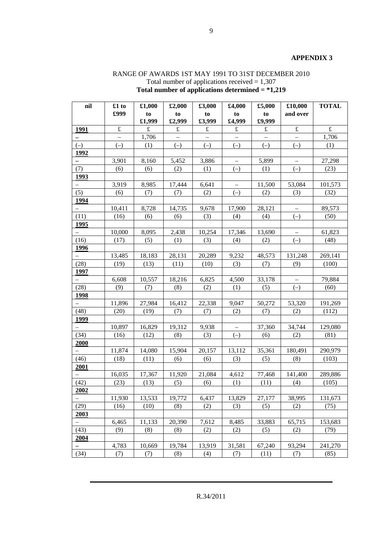#### **APPENDIX 3**

# RANGE OF AWARDS 1ST MAY 1991 TO 31ST DECEMBER 2010 Total number of applications received  $= 1,307$ **Total number of applications determined = \*1,219**

| nil                      | £1 to     | £1,000    | £2,000    | £3,000    | £4,000    | £5,000    | £10,000                  | <b>TOTAL</b> |
|--------------------------|-----------|-----------|-----------|-----------|-----------|-----------|--------------------------|--------------|
|                          | £999      | to        | to        | to        | to        | to        | and over                 |              |
|                          |           | £1,999    | £2,999    | £3,999    | £4,999    | £9,999    |                          |              |
| 1991                     | $\pounds$ | $\pounds$ | $\pounds$ | $\pounds$ | $\pounds$ | $\pounds$ | $\pounds$                | $\pounds$    |
|                          |           | 1,706     |           |           |           |           |                          | 1,706        |
| $(-)$                    | $(-)$     | (1)       | $(-)$     | $(-)$     | $(-)$     | $(-)$     | $(-)$                    | (1)          |
| 1992                     |           |           |           |           |           |           |                          |              |
|                          | 3,901     | 8,160     | 5,452     | 3,886     |           | 5,899     |                          | 27,298       |
| (7)                      | (6)       | (6)       | (2)       | (1)       | $(-)$     | (1)       | $(-)$                    | (23)         |
| <u>1993</u>              |           |           |           |           |           |           |                          |              |
| $\overline{\phantom{0}}$ | 3,919     | 8,985     | 17,444    | 6,641     |           | 11,500    | 53,084                   | 101,573      |
| (5)                      | (6)       | (7)       | (7)       | (2)       | $(-)$     | (2)       | (3)                      | (32)         |
| 1994                     |           |           |           |           |           |           |                          |              |
| $\overline{\phantom{0}}$ | 10,411    | 8,728     | 14,735    | 9,678     | 17,900    | 28,121    | $\overline{\phantom{m}}$ | 89,573       |
| (11)                     | (16)      | (6)       | (6)       | (3)       | (4)       | (4)       | $(-)$                    | (50)         |
| 1995                     |           |           |           |           |           |           |                          |              |
|                          | 10,000    | 8,095     | 2,438     | 10,254    | 17,346    | 13,690    |                          | 61,823       |
| (16)                     | (17)      | (5)       | (1)       | (3)       | (4)       | (2)       | $(-)$                    | (48)         |
| 1996                     |           |           |           |           |           |           |                          |              |
|                          | 13,485    | 18,183    | 28,131    | 20,289    | 9,232     | 48,573    | 131,248                  | 269,141      |
| (28)                     | (19)      | (13)      | (11)      | (10)      | (3)       | (7)       | (9)                      | (100)        |
| 1997                     |           |           |           |           |           |           |                          |              |
|                          | 6,608     | 10,557    | 18,216    | 6,825     | 4,500     | 33,178    |                          | 79,884       |
| (28)                     | (9)       | (7)       | (8)       | (2)       | (1)       | (5)       | $(-)$                    | (60)         |
| 1998                     |           |           |           |           |           |           |                          |              |
|                          | 11,896    | 27,984    | 16,412    | 22,338    | 9,047     | 50,272    | 53,320                   | 191,269      |
| (48)                     | (20)      | (19)      | (7)       | (7)       | (2)       | (7)       | (2)                      | (112)        |
| 1999                     |           |           |           |           |           |           |                          |              |
|                          | 10,897    | 16,829    | 19,312    | 9,938     |           | 37,360    | 34,744                   | 129,080      |
| (34)                     | (16)      | (12)      | (8)       | (3)       | $(-)$     | (6)       | (2)                      | (81)         |
| 2000                     |           |           |           |           |           |           |                          |              |
|                          | 11,874    | 14,080    | 15,904    | 20,157    | 13,112    | 35,361    | 180,491                  | 290,979      |
| (46)                     | (18)      | (11)      | (6)       | (6)       | (3)       | (5)       | (8)                      | (103)        |
| 2001                     |           |           |           |           |           |           |                          |              |
|                          | 16,035    | 17,367    | 11,920    | 21,084    | 4,612     | 77,468    | 141,400                  | 289,886      |
| (42)                     | (23)      | (13)      | (5)       | (6)       | (1)       | (11)      | (4)                      | (105)        |
| 2002                     |           |           |           |           |           |           |                          |              |
|                          | 11,930    | 13,533    | 19,772    | 6,437     | 13,829    | 27,177    | 38,995                   | 131,673      |
| (29)                     | (16)      | (10)      | (8)       | (2)       | (3)       | (5)       | (2)                      | (75)         |
| 2003                     |           |           |           |           |           |           |                          |              |
|                          | 6,465     | 11,133    | 20,390    | 7,612     | 8,485     | 33,883    | 65,715                   | 153,683      |
| (43)                     | (9)       | (8)       | (8)       | (2)       | (2)       | (5)       | (2)                      | (79)         |
| 2004                     |           |           |           |           |           |           |                          |              |
|                          | 4,783     | 10,669    | 19,784    | 13,919    | 31,581    | 67,240    | 93,294                   | 241,270      |
| (34)                     | (7)       | (7)       | (8)       | (4)       | (7)       | (11)      | (7)                      | (85)         |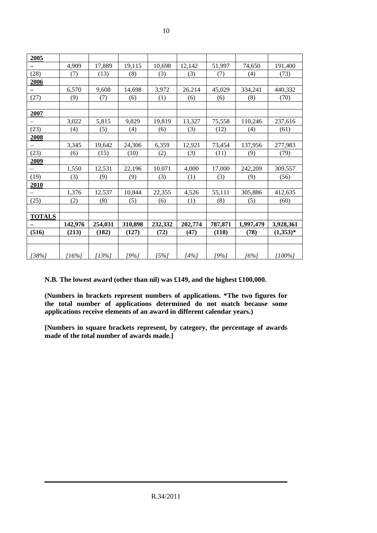| 2005          |          |          |         |         |         |         |           |            |
|---------------|----------|----------|---------|---------|---------|---------|-----------|------------|
|               | 4,909    | 17,889   | 19,115  | 10,698  | 12,142  | 51,997  | 74,650    | 191,400    |
| (28)          | (7)      | (13)     | (8)     | (3)     | (3)     | (7)     | (4)       | (73)       |
| 2006          |          |          |         |         |         |         |           |            |
|               | 6,570    | 9,608    | 14,698  | 3,972   | 26,214  | 45,029  | 334,241   | 440,332    |
| (27)          | (9)      | (7)      | (6)     | (1)     | (6)     | (6)     | (8)       | (70)       |
|               |          |          |         |         |         |         |           |            |
| 2007          |          |          |         |         |         |         |           |            |
|               | 3,022    | 5,815    | 9,829   | 19,819  | 13,327  | 75,558  | 110,246   | 237,616    |
| (23)          | (4)      | (5)      | (4)     | (6)     | (3)     | (12)    | (4)       | (61)       |
| 2008          |          |          |         |         |         |         |           |            |
|               | 3,345    | 19,642   | 24,306  | 6,359   | 12,921  | 73,454  | 137,956   | 277,983    |
| (23)          | (6)      | (15)     | (10)    | (2)     | (3)     | (11)    | (9)       | (79)       |
| 2009          |          |          |         |         |         |         |           |            |
|               | 1,550    | 12,531   | 22,196  | 10.071  | 4,000   | 17,000  | 242,209   | 309,557    |
| (19)          | (3)      | (9)      | (9)     | (3)     | (1)     | (3)     | (9)       | (56)       |
| 2010          |          |          |         |         |         |         |           |            |
|               | 1,376    | 12,537   | 10,844  | 22,355  | 4,526   | 55,111  | 305,886   | 412,635    |
| (25)          | (2)      | (8)      | (5)     | (6)     | (1)     | (8)     | (5)       | (60)       |
|               |          |          |         |         |         |         |           |            |
| <b>TOTALS</b> |          |          |         |         |         |         |           |            |
|               | 142,976  | 254,031  | 310,898 | 232,332 | 202,774 | 787,871 | 1,997,479 | 3,928,361  |
| (516)         | (213)    | (182)    | (127)   | (72)    | (47)    | (118)   | (78)      | $(1,353)*$ |
|               |          |          |         |         |         |         |           |            |
|               |          |          |         |         |         |         |           |            |
| [38%]         | $[16\%]$ | $[13\%]$ | [9%]    | $[5\%]$ | $[4\%]$ | [9%]    | $[6\%]$   | $[100\%]$  |

**N.B. The lowest award (other than nil) was £149, and the highest £100,000.** 

**(Numbers in brackets represent numbers of applications. \*The two figures for the total number of applications determined do not match because some applications receive elements of an award in different calendar years.)** 

**[Numbers in square brackets represent, by category, the percentage of awards made of the total number of awards made.]**